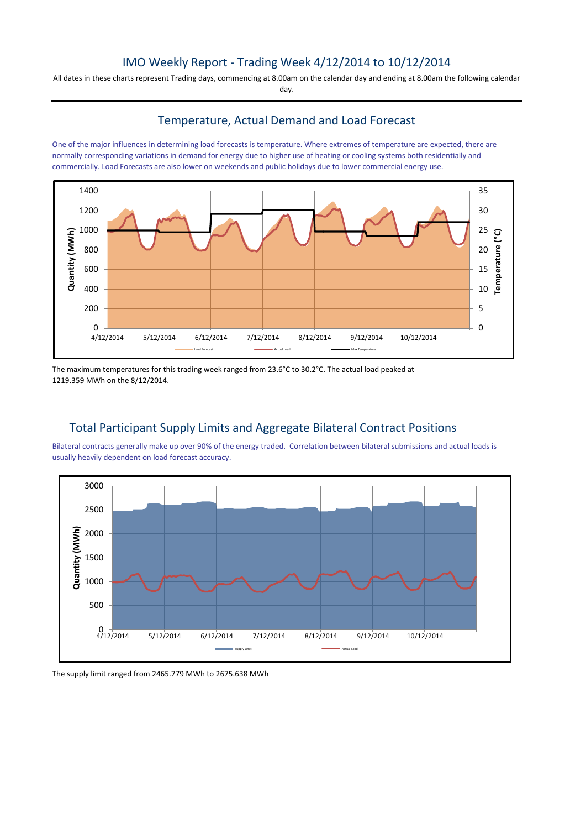## IMO Weekly Report - Trading Week 4/12/2014 to 10/12/2014

All dates in these charts represent Trading days, commencing at 8.00am on the calendar day and ending at 8.00am the following calendar day.

### Temperature, Actual Demand and Load Forecast

One of the major influences in determining load forecasts is temperature. Where extremes of temperature are expected, there are normally corresponding variations in demand for energy due to higher use of heating or cooling systems both residentially and commercially. Load Forecasts are also lower on weekends and public holidays due to lower commercial energy use.



The maximum temperatures for this trading week ranged from 23.6°C to 30.2°C. The actual load peaked at 1219.359 MWh on the 8/12/2014.

## Total Participant Supply Limits and Aggregate Bilateral Contract Positions

Bilateral contracts generally make up over 90% of the energy traded. Correlation between bilateral submissions and actual loads is usually heavily dependent on load forecast accuracy.



The supply limit ranged from 2465.779 MWh to 2675.638 MWh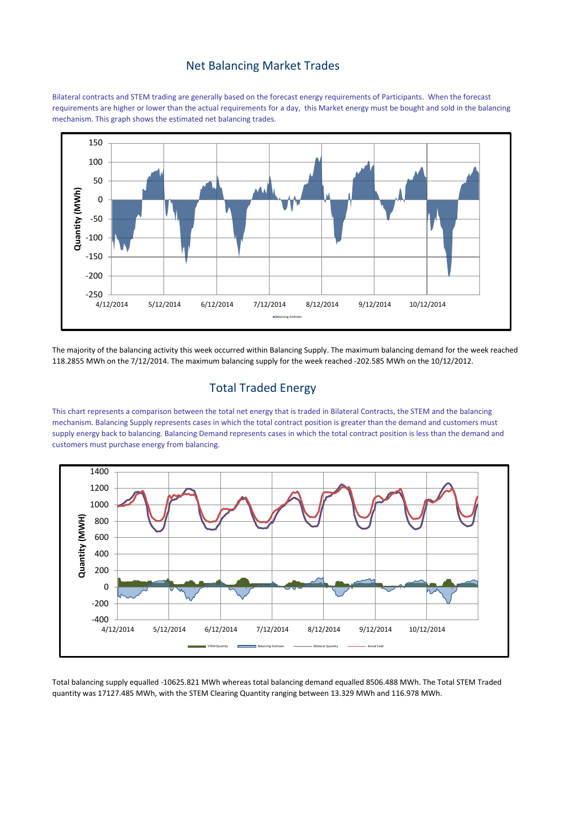#### Net Balancing Market Trades

Bilateral contracts and STEM trading are generally based on the forecast energy requirements of Participants. When the forecast requirements are higher or lower than the actual requirements for a day, this Market energy must be bought and sold in the balancing mechanism. This graph shows the estimated net balancing trades.



The majority of the balancing activity this week occurred within Balancing Supply. The maximum balancing demand for the week reached 118.2855 MWh on the 7/12/2014. The maximum balancing supply for the week reached -202.585 MWh on the 10/12/2012.

#### Total Traded Energy

This chart represents a comparison between the total net energy that is traded in Bilateral Contracts, the STEM and the balancing mechanism. Balancing Supply represents cases in which the total contract position is greater than the demand and customers must supply energy back to balancing. Balancing Demand represents cases in which the total contract position is less than the demand and customers must purchase energy from balancing.



Total balancing supply equalled -10625.821 MWh whereas total balancing demand equalled 8506.488 MWh. The Total STEM Traded quantity was 17127.485 MWh, with the STEM Clearing Quantity ranging between 13.329 MWh and 116.978 MWh.